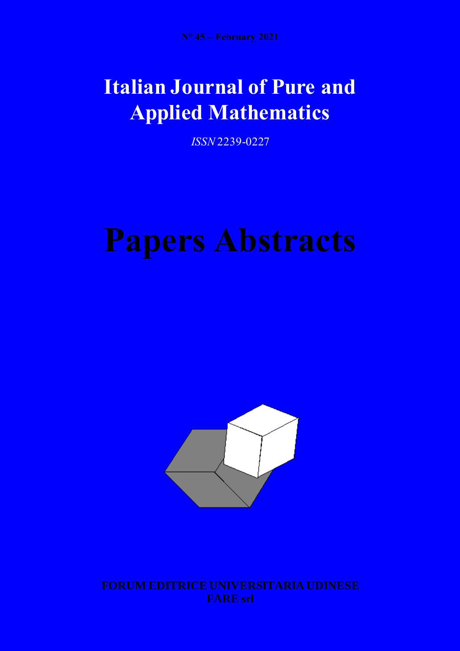## **Italian Journal of Pure and Applied Mathematics**

*ISSN* 2239-0227

# **Papers Abstracts**



**FORUM EDITRICE UNIVERSITARIA UDINESE FARE srl**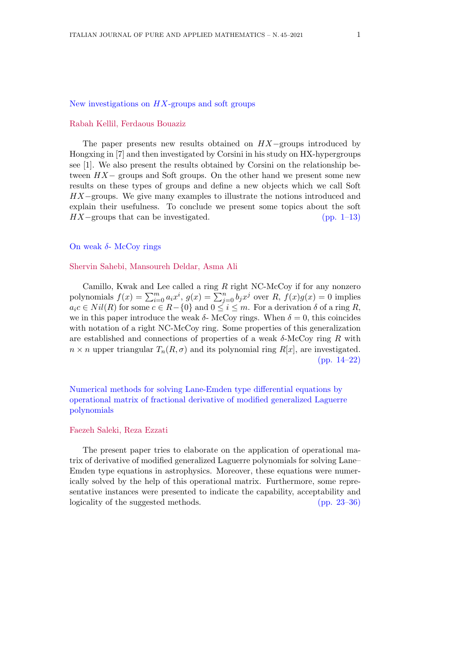#### New investigations on *HX*-groups and soft groups

#### Rabah Kellil, Ferdaous Bouaziz

The paper presents new results obtained on *HX−*groups introduced by Hongxing in [7] and then investigated by Corsini in his study on HX-hypergroups see [1]. We also present the results obtained by Corsini on the relationship between *HX−* groups and Soft groups. On the other hand we present some new results on these types of groups and define a new objects which we call Soft *HX*−groups. We give many examples to illustrate the notions introduced and explain their usefulness. To conclude we present some topics about the soft *HX*−groups that can be investigated. (pp. 1–13)

#### On weak *δ*- McCoy rings

#### Shervin Sahebi, Mansoureh Deldar, Asma Ali

Camillo, Kwak and Lee called a ring *R* right NC-McCoy if for any nonzero polynomials  $f(x) = \sum_{i=0}^{m} a_i x^i$ ,  $g(x) = \sum_{j=0}^{n} b_j x^j$  over  $R$ ,  $f(x)g(x) = 0$  implies  $a_i c \in Nil(R)$  for some  $c \in R-\{0\}$  and  $0 \leq i \leq m$ . For a derivation  $\delta$  of a ring *R*, we in this paper introduce the weak  $\delta$ - McCoy rings. When  $\delta = 0$ , this coincides with notation of a right NC-McCoy ring. Some properties of this generalization are established and connections of properties of a weak *δ*-McCoy ring *R* with  $n \times n$  upper triangular  $T_n(R, \sigma)$  and its polynomial ring  $R[x]$ , are investigated. (pp. 14–22)

Numerical methods for solving Lane-Emden type differential equations by operational matrix of fractional derivative of modified generalized Laguerre polynomials

#### Faezeh Saleki, Reza Ezzati

The present paper tries to elaborate on the application of operational matrix of derivative of modified generalized Laguerre polynomials for solving Lane– Emden type equations in astrophysics. Moreover, these equations were numerically solved by the help of this operational matrix. Furthermore, some representative instances were presented to indicate the capability, acceptability and logicality of the suggested methods. (pp. 23–36)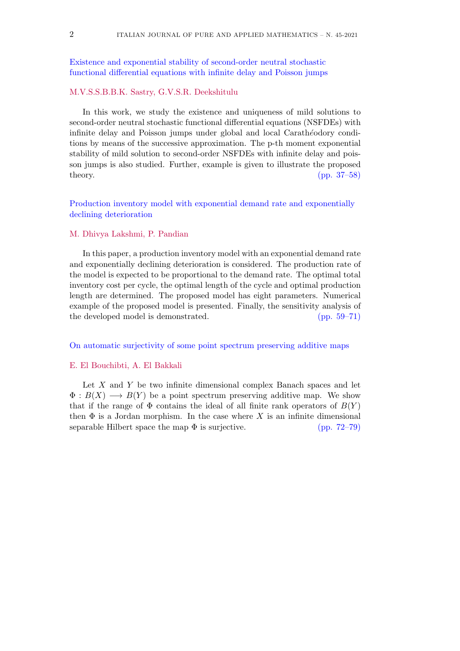#### Existence and exponential stability of second-order neutral stochastic functional differential equations with infinite delay and Poisson jumps

#### M.V.S.S.B.B.K. Sastry, G.V.S.R. Deekshitulu

In this work, we study the existence and uniqueness of mild solutions to second-order neutral stochastic functional differential equations (NSFDEs) with infinite delay and Poisson jumps under global and local Carath´*e*odory conditions by means of the successive approximation. The p-th moment exponential stability of mild solution to second-order NSFDEs with infinite delay and poisson jumps is also studied. Further, example is given to illustrate the proposed theory. (pp. 37–58)

Production inventory model with exponential demand rate and exponentially declining deterioration

#### M. Dhivya Lakshmi, P. Pandian

In this paper, a production inventory model with an exponential demand rate and exponentially declining deterioration is considered. The production rate of the model is expected to be proportional to the demand rate. The optimal total inventory cost per cycle, the optimal length of the cycle and optimal production length are determined. The proposed model has eight parameters. Numerical example of the proposed model is presented. Finally, the sensitivity analysis of the developed model is demonstrated. (pp. 59–71)

#### On automatic surjectivity of some point spectrum preserving additive maps

#### E. El Bouchibti, A. El Bakkali

Let *X* and *Y* be two infinite dimensional complex Banach spaces and let  $\Phi: B(X) \longrightarrow B(Y)$  be a point spectrum preserving additive map. We show that if the range of  $\Phi$  contains the ideal of all finite rank operators of  $B(Y)$ then  $\Phi$  is a Jordan morphism. In the case where X is an infinite dimensional separable Hilbert space the map  $\Phi$  is surjective. (pp. 72–79)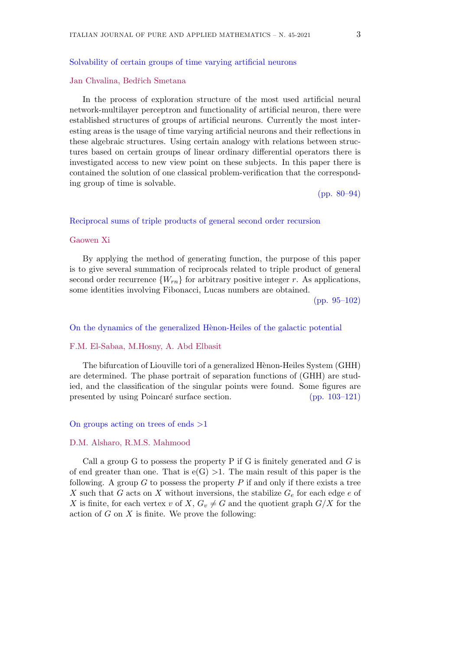#### Solvability of certain groups of time varying artificial neurons

#### Jan Chvalina, Bedˇrich Smetana

In the process of exploration structure of the most used artificial neural network-multilayer perceptron and functionality of artificial neuron, there were established structures of groups of artificial neurons. Currently the most interesting areas is the usage of time varying artificial neurons and their reflections in these algebraic structures. Using certain analogy with relations between structures based on certain groups of linear ordinary differential operators there is investigated access to new view point on these subjects. In this paper there is contained the solution of one classical problem-verification that the corresponding group of time is solvable.

(pp. 80–94)

#### Reciprocal sums of triple products of general second order recursion

#### Gaowen Xi

By applying the method of generating function, the purpose of this paper is to give several summation of reciprocals related to triple product of general second order recurrence  ${W_{rn}}$  for arbitrary positive integer *r*. As applications, some identities involving Fibonacci, Lucas numbers are obtained.

(pp. 95–102)

#### On the dynamics of the generalized Hènon-Heiles of the galactic potential

#### F.M. El-Sabaa, M.Hosny, A. Abd Elbasit

The bifurcation of Liouville tori of a generalized Hènon-Heiles System (GHH) are determined. The phase portrait of separation functions of (GHH) are studied, and the classification of the singular points were found. Some figures are presented by using Poincaré surface section. (pp. 103–121)

#### On groups acting on trees of ends *>*1

#### D.M. Alsharo, R.M.S. Mahmood

Call a group G to possess the property P if G is finitely generated and *G* is of end greater than one. That is  $e(G) > 1$ . The main result of this paper is the following. A group *G* to possess the property *P* if and only if there exists a tree *X* such that *G* acts on *X* without inversions, the stabilize *G<sup>e</sup>* for each edge *e* of *X* is finite, for each vertex *v* of *X*,  $G_v \neq G$  and the quotient graph  $G/X$  for the action of *G* on *X* is finite. We prove the following: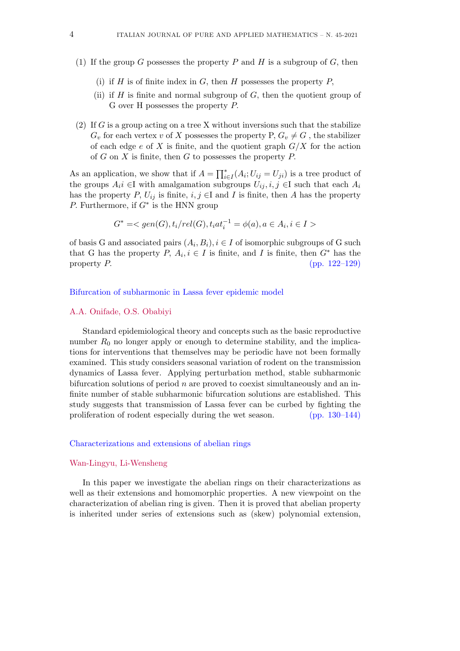- (1) If the group *G* possesses the property *P* and *H* is a subgroup of *G*, then
	- (i) if *H* is of finite index in *G*, then *H* possesses the property *P*,
	- (ii) if *H* is finite and normal subgroup of *G,* then the quotient group of G over H possesses the property *P.*
- (2) If *G* is a group acting on a tree X without inversions such that the stabilize  $G_v$  for each vertex *v* of *X* possesses the property P,  $G_v \neq G$ , the stabilizer of each edge *e* of *X* is finite, and the quotient graph *G/X* for the action of *G* on *X* is finite, then *G* to possesses the property *P.*

As an application, we show that if  $A = \prod_{i \in I}^* (A_i; U_{ij} = U_{ji})$  is a tree product of the groups  $A_i i \in I$  with amalgamation subgroups  $U_{ij}, i, j \in I$  such that each  $A_i$ has the property *P*,  $U_{ij}$  is finite, *i, j*  $\in$ I and *I* is finite, then *A* has the property *P.* Furthermore, if *G<sup>∗</sup>* is the HNN group

$$
G^* =
$$

of basis G and associated pairs  $(A_i, B_i)$ ,  $i \in I$  of isomorphic subgroups of G such that G has the property  $P, A_i, i \in I$  is finite, and I is finite, then  $G^*$  has the property *P.* (pp. 122–129)

#### Bifurcation of subharmonic in Lassa fever epidemic model

#### A.A. Onifade, O.S. Obabiyi

Standard epidemiological theory and concepts such as the basic reproductive number  $R_0$  no longer apply or enough to determine stability, and the implications for interventions that themselves may be periodic have not been formally examined. This study considers seasonal variation of rodent on the transmission dynamics of Lassa fever. Applying perturbation method, stable subharmonic bifurcation solutions of period *n* are proved to coexist simultaneously and an infinite number of stable subharmonic bifurcation solutions are established. This study suggests that transmission of Lassa fever can be curbed by fighting the proliferation of rodent especially during the wet season. (pp. 130–144)

#### Characterizations and extensions of abelian rings

#### Wan-Lingyu, Li-Wensheng

In this paper we investigate the abelian rings on their characterizations as well as their extensions and homomorphic properties. A new viewpoint on the characterization of abelian ring is given. Then it is proved that abelian property is inherited under series of extensions such as (skew) polynomial extension,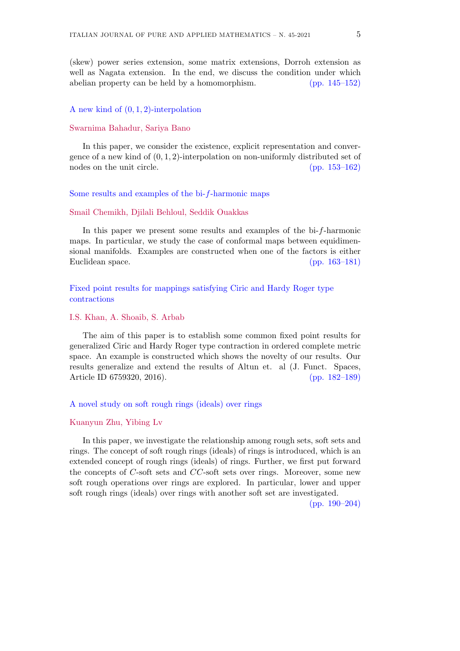(skew) power series extension, some matrix extensions, Dorroh extension as well as Nagata extension. In the end, we discuss the condition under which abelian property can be held by a homomorphism. (pp. 145–152)

#### A new kind of (0*,* 1*,* 2)-interpolation

#### Swarnima Bahadur, Sariya Bano

In this paper, we consider the existence, explicit representation and convergence of a new kind of (0*,* 1*,* 2)-interpolation on non-uniformly distributed set of nodes on the unit circle. (pp. 153–162)

#### Some results and examples of the bi-*f*-harmonic maps

#### Smail Chemikh, Djilali Behloul, Seddik Ouakkas

In this paper we present some results and examples of the bi-*f*-harmonic maps. In particular, we study the case of conformal maps between equidimensional manifolds. Examples are constructed when one of the factors is either Euclidean space. (pp. 163–181)

Fixed point results for mappings satisfying Ciric and Hardy Roger type contractions

#### I.S. Khan, A. Shoaib, S. Arbab

The aim of this paper is to establish some common fixed point results for generalized Ciric and Hardy Roger type contraction in ordered complete metric space. An example is constructed which shows the novelty of our results. Our results generalize and extend the results of Altun et. al (J. Funct. Spaces, Article ID 6759320, 2016). (pp. 182–189)

#### A novel study on soft rough rings (ideals) over rings

#### Kuanyun Zhu, Yibing Lv

In this paper, we investigate the relationship among rough sets, soft sets and rings. The concept of soft rough rings (ideals) of rings is introduced, which is an extended concept of rough rings (ideals) of rings. Further, we first put forward the concepts of *C*-soft sets and *CC*-soft sets over rings. Moreover, some new soft rough operations over rings are explored. In particular, lower and upper soft rough rings (ideals) over rings with another soft set are investigated.

(pp. 190–204)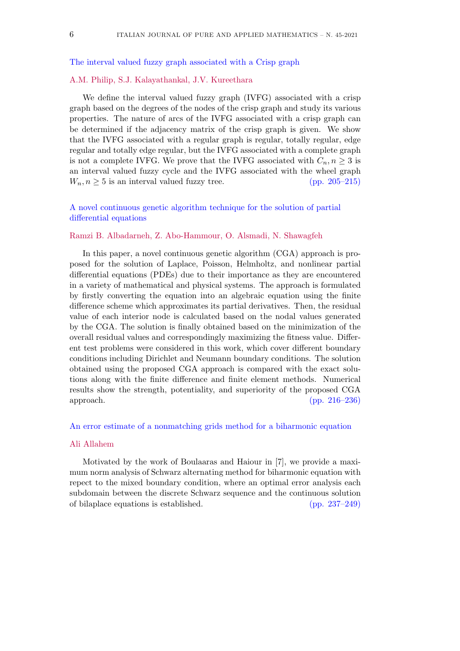The interval valued fuzzy graph associated with a Crisp graph

#### A.M. Philip, S.J. Kalayathankal, J.V. Kureethara

We define the interval valued fuzzy graph (IVFG) associated with a crisp graph based on the degrees of the nodes of the crisp graph and study its various properties. The nature of arcs of the IVFG associated with a crisp graph can be determined if the adjacency matrix of the crisp graph is given. We show that the IVFG associated with a regular graph is regular, totally regular, edge regular and totally edge regular, but the IVFG associated with a complete graph is not a complete IVFG. We prove that the IVFG associated with  $C_n, n \geq 3$  is an interval valued fuzzy cycle and the IVFG associated with the wheel graph  $W_n, n \geq 5$  is an interval valued fuzzy tree. (pp. 205–215)

#### A novel continuous genetic algorithm technique for the solution of partial differential equations

#### Ramzi B. Albadarneh, Z. Abo-Hammour, O. Alsmadi, N. Shawagfeh

In this paper, a novel continuous genetic algorithm (CGA) approach is proposed for the solution of Laplace, Poisson, Helmholtz, and nonlinear partial differential equations (PDEs) due to their importance as they are encountered in a variety of mathematical and physical systems. The approach is formulated by firstly converting the equation into an algebraic equation using the finite difference scheme which approximates its partial derivatives. Then, the residual value of each interior node is calculated based on the nodal values generated by the CGA. The solution is finally obtained based on the minimization of the overall residual values and correspondingly maximizing the fitness value. Different test problems were considered in this work, which cover different boundary conditions including Dirichlet and Neumann boundary conditions. The solution obtained using the proposed CGA approach is compared with the exact solutions along with the finite difference and finite element methods. Numerical results show the strength, potentiality, and superiority of the proposed CGA approach. (pp. 216–236)

#### An error estimate of a nonmatching grids method for a biharmonic equation

#### Ali Allahem

Motivated by the work of Boulaaras and Haiour in [7], we provide a maximum norm analysis of Schwarz alternating method for biharmonic equation with repect to the mixed boundary condition, where an optimal error analysis each subdomain between the discrete Schwarz sequence and the continuous solution of bilaplace equations is established. (pp. 237–249)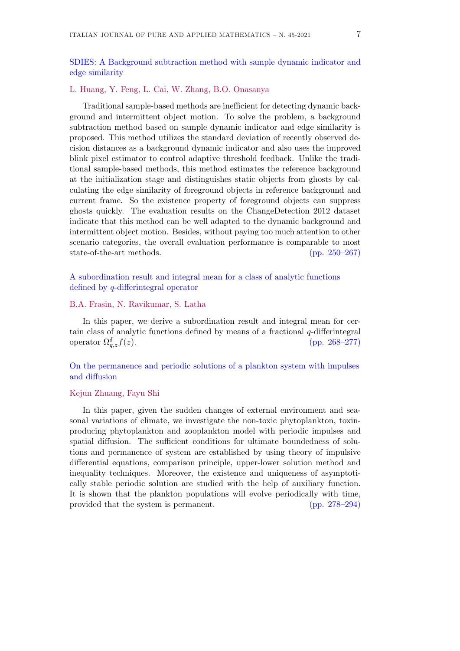SDIES: A Background subtraction method with sample dynamic indicator and edge similarity

#### L. Huang, Y. Feng, L. Cai, W. Zhang, B.O. Onasanya

Traditional sample-based methods are inefficient for detecting dynamic background and intermittent object motion. To solve the problem, a background subtraction method based on sample dynamic indicator and edge similarity is proposed. This method utilizes the standard deviation of recently observed decision distances as a background dynamic indicator and also uses the improved blink pixel estimator to control adaptive threshold feedback. Unlike the traditional sample-based methods, this method estimates the reference background at the initialization stage and distinguishes static objects from ghosts by calculating the edge similarity of foreground objects in reference background and current frame. So the existence property of foreground objects can suppress ghosts quickly. The evaluation results on the ChangeDetection 2012 dataset indicate that this method can be well adapted to the dynamic background and intermittent object motion. Besides, without paying too much attention to other scenario categories, the overall evaluation performance is comparable to most state-of-the-art methods. (pp. 250–267)

A subordination result and integral mean for a class of analytic functions defined by *q*-differintegral operator

#### B.A. Frasin, N. Ravikumar, S. Latha

In this paper, we derive a subordination result and integral mean for certain class of analytic functions defined by means of a fractional *q*-differintegral operator  $\Omega_{a}^{\delta} f(z)$ . *q,zf*(*z*)*.* (pp. 268–277)

On the permanence and periodic solutions of a plankton system with impulses and diffusion

#### Kejun Zhuang, Fayu Shi

In this paper, given the sudden changes of external environment and seasonal variations of climate, we investigate the non-toxic phytoplankton, toxinproducing phytoplankton and zooplankton model with periodic impulses and spatial diffusion. The sufficient conditions for ultimate boundedness of solutions and permanence of system are established by using theory of impulsive differential equations, comparison principle, upper-lower solution method and inequality techniques. Moreover, the existence and uniqueness of asymptotically stable periodic solution are studied with the help of auxiliary function. It is shown that the plankton populations will evolve periodically with time, provided that the system is permanent. (pp. 278–294)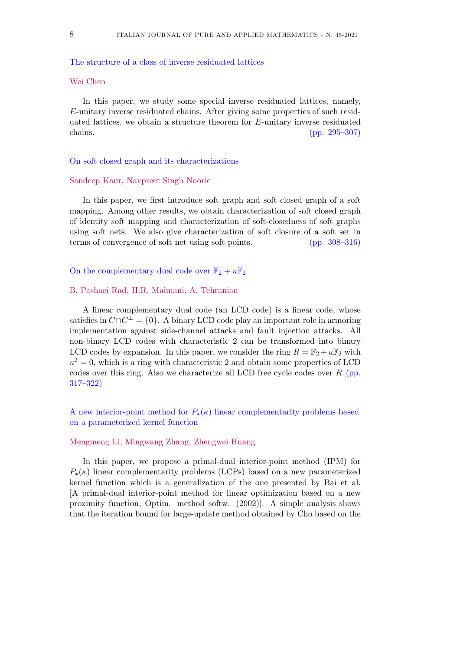#### The structure of a class of inverse residuated lattices

#### Wei Chen

In this paper, we study some special inverse residuated lattices, namely, *E*-unitary inverse residuated chains. After giving some properties of such residuated lattices, we obtain a structure theorem for *E*-unitary inverse residuated chains. (pp. 295–307)

#### On soft closed graph and its characterizations

#### Sandeep Kaur, Navpreet Singh Noorie

In this paper, we first introduce soft graph and soft closed graph of a soft mapping. Among other results, we obtain characterization of soft closed graph of identity soft mapping and characterization of soft-closedness of soft graphs using soft nets. We also give characterization of soft closure of a soft set in terms of convergence of soft net using soft points. (pp. 308–316)

On the complementary dual code over  $\mathbb{F}_2 + u\mathbb{F}_2$ 

#### B. Pashaei Rad, H.R. Maimani, A. Tehranian

A linear complementary dual code (an LCD code) is a linear code, whose satisfies in *C∩C <sup>⊥</sup>* = *{*0*}*. A binary LCD code play an important role in armoring implementation against side-channel attacks and fault injection attacks. All non-binary LCD codes with characteristic 2 can be transformed into binary LCD codes by expansion. In this paper, we consider the ring  $R = \mathbb{F}_2 + u\mathbb{F}_2$  with  $u^2 = 0$ , which is a ring with characteristic 2 and obtain some properties of LCD codes over this ring. Also we characterize all LCD free cycle codes over *R*.(pp. 317–322)

A new interior-point method for *P∗*(*κ*) linear complementarity problems based on a parameterized kernel function

#### Mengmeng Li, Mingwang Zhang, Zhengwei Huang

In this paper, we propose a primal-dual interior-point method (IPM) for  $P_{*}(\kappa)$  linear complementarity problems (LCPs) based on a new parameterized kernel function which is a generalization of the one presented by Bai et al. [A primal-dual interior-point method for linear optimization based on a new proximity function, Optim. method softw. (2002)]. A simple analysis shows that the iteration bound for large-update method obtained by Cho based on the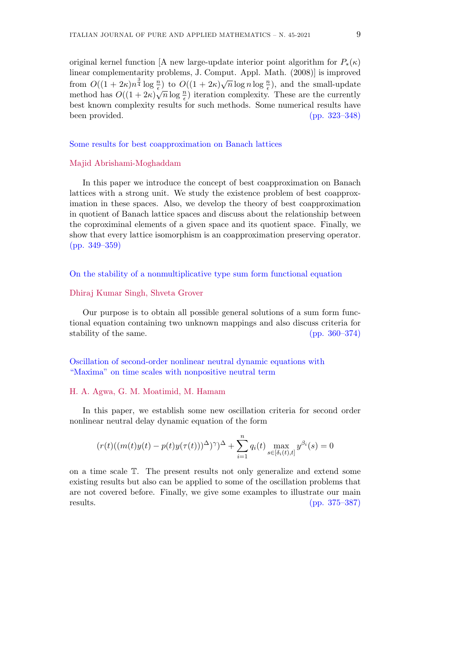original kernel function [A new large-update interior point algorithm for  $P_{*}(\kappa)$ linear complementarity problems, J. Comput. Appl. Math. (2008)] is improved from  $O((1 + 2\kappa)n^{\frac{3}{4}} \log \frac{n}{\epsilon})$  to  $O((1 + 2\kappa)\sqrt{n} \log n \log \frac{n}{\epsilon})$ , and the small-update method has  $O((1 + 2\kappa)\sqrt{n}\log\frac{n}{\epsilon})$  iteration complexity. These are the currently<br>method has  $O((1 + 2\kappa)\sqrt{n}\log\frac{n}{\epsilon})$  iteration complexity. These are the currently best known complexity results for such methods. Some numerical results have been provided. (pp. 323–348)

Some results for best coapproximation on Banach lattices

#### Majid Abrishami-Moghaddam

In this paper we introduce the concept of best coapproximation on Banach lattices with a strong unit. We study the existence problem of best coapproximation in these spaces. Also, we develop the theory of best coapproximation in quotient of Banach lattice spaces and discuss about the relationship between the coproximinal elements of a given space and its quotient space. Finally, we show that every lattice isomorphism is an coapproximation preserving operator. (pp. 349–359)

On the stability of a nonmultiplicative type sum form functional equation

#### Dhiraj Kumar Singh, Shveta Grover

Our purpose is to obtain all possible general solutions of a sum form functional equation containing two unknown mappings and also discuss criteria for stability of the same. (pp. 360–374)

Oscillation of second-order nonlinear neutral dynamic equations with "Maxima" on time scales with nonpositive neutral term

#### H. A. Agwa, G. M. Moatimid, M. Hamam

In this paper, we establish some new oscillation criteria for second order nonlinear neutral delay dynamic equation of the form

$$
(r(t)((m(t)y(t) - p(t)y(\tau(t)))^{\Delta})^{\gamma})^{\Delta} + \sum_{i=1}^{n} q_i(t) \max_{s \in [\delta_i(t), t]} y^{\beta_i}(s) = 0
$$

on a time scale T. The present results not only generalize and extend some existing results but also can be applied to some of the oscillation problems that are not covered before. Finally, we give some examples to illustrate our main results. (pp. 375–387)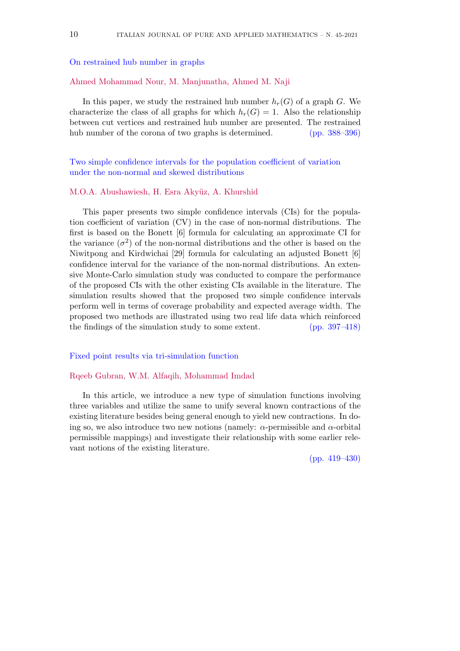On restrained hub number in graphs

#### Ahmed Mohammad Nour, M. Manjunatha, Ahmed M. Naji

In this paper, we study the restrained hub number  $h_r(G)$  of a graph *G*. We characterize the class of all graphs for which  $h_r(G) = 1$ . Also the relationship between cut vertices and restrained hub number are presented. The restrained hub number of the corona of two graphs is determined. (pp. 388–396)

Two simple confidence intervals for the population coefficient of variation under the non-normal and skewed distributions

#### M.O.A. Abushawiesh, H. Esra Akyüz, A. Khurshid

This paper presents two simple confidence intervals (CIs) for the population coefficient of variation (CV) in the case of non-normal distributions. The first is based on the Bonett [6] formula for calculating an approximate CI for the variance  $(\sigma^2)$  of the non-normal distributions and the other is based on the Niwitpong and Kirdwichai [29] formula for calculating an adjusted Bonett [6] confidence interval for the variance of the non-normal distributions. An extensive Monte-Carlo simulation study was conducted to compare the performance of the proposed CIs with the other existing CIs available in the literature. The simulation results showed that the proposed two simple confidence intervals perform well in terms of coverage probability and expected average width. The proposed two methods are illustrated using two real life data which reinforced the findings of the simulation study to some extent. (pp. 397–418)

#### Fixed point results via tri-simulation function

#### Rqeeb Gubran, W.M. Alfaqih, Mohammad Imdad

In this article, we introduce a new type of simulation functions involving three variables and utilize the same to unify several known contractions of the existing literature besides being general enough to yield new contractions. In doing so, we also introduce two new notions (namely:  $\alpha$ -permissible and  $\alpha$ -orbital permissible mappings) and investigate their relationship with some earlier relevant notions of the existing literature.

(pp. 419–430)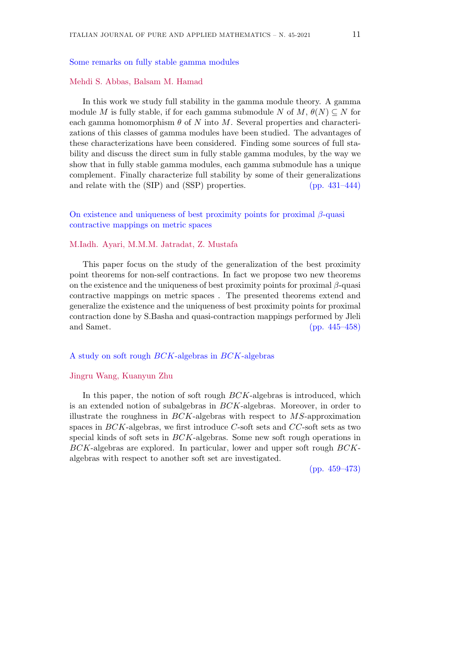#### Some remarks on fully stable gamma modules

#### Mehdi S. Abbas, Balsam M. Hamad

In this work we study full stability in the gamma module theory. A gamma module *M* is fully stable, if for each gamma submodule *N* of  $M$ ,  $\theta(N) \subseteq N$  for each gamma homomorphism  $\theta$  of  $N$  into  $M$ . Several properties and characterizations of this classes of gamma modules have been studied. The advantages of these characterizations have been considered. Finding some sources of full stability and discuss the direct sum in fully stable gamma modules, by the way we show that in fully stable gamma modules, each gamma submodule has a unique complement. Finally characterize full stability by some of their generalizations and relate with the (SIP) and (SSP) properties. (pp. 431–444)

On existence and uniqueness of best proximity points for proximal *β*-quasi contractive mappings on metric spaces

#### M.Iadh. Ayari, M.M.M. Jatradat, Z. Mustafa

This paper focus on the study of the generalization of the best proximity point theorems for non-self contractions. In fact we propose two new theorems on the existence and the uniqueness of best proximity points for proximal *β*-quasi contractive mappings on metric spaces . The presented theorems extend and generalize the existence and the uniqueness of best proximity points for proximal contraction done by S.Basha and quasi-contraction mappings performed by Jleli and Samet. (pp. 445–458)

#### A study on soft rough *BCK*-algebras in *BCK*-algebras

#### Jingru Wang, Kuanyun Zhu

In this paper, the notion of soft rough *BCK*-algebras is introduced, which is an extended notion of subalgebras in *BCK*-algebras. Moreover, in order to illustrate the roughness in *BCK*-algebras with respect to *MS*-approximation spaces in *BCK*-algebras, we first introduce *C*-soft sets and *CC*-soft sets as two special kinds of soft sets in *BCK*-algebras. Some new soft rough operations in *BCK*-algebras are explored. In particular, lower and upper soft rough *BCK*algebras with respect to another soft set are investigated.

(pp. 459–473)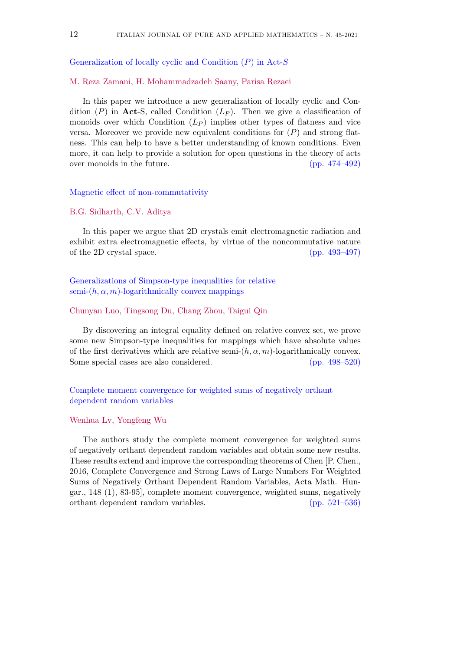Generalization of locally cyclic and Condition (*P*) in Act-*S*

M. Reza Zamani, H. Mohammadzadeh Saany, Parisa Rezaei

In this paper we introduce a new generalization of locally cyclic and Condition  $(P)$  in **Act**-S, called Condition  $(L_P)$ . Then we give a classification of monoids over which Condition (*L<sup>P</sup>* ) implies other types of flatness and vice versa. Moreover we provide new equivalent conditions for (*P*) and strong flatness. This can help to have a better understanding of known conditions. Even more, it can help to provide a solution for open questions in the theory of acts over monoids in the future. (pp. 474–492)

#### Magnetic effect of non-commutativity

#### B.G. Sidharth, C.V. Aditya

In this paper we argue that 2D crystals emit electromagnetic radiation and exhibit extra electromagnetic effects, by virtue of the noncommutative nature of the 2D crystal space. (pp. 493–497)

Generalizations of Simpson-type inequalities for relative semi- $(h, \alpha, m)$ -logarithmically convex mappings

#### Chunyan Luo, Tingsong Du, Chang Zhou, Taigui Qin

By discovering an integral equality defined on relative convex set, we prove some new Simpson-type inequalities for mappings which have absolute values of the first derivatives which are relative semi- $(h, \alpha, m)$ -logarithmically convex. Some special cases are also considered. (pp. 498–520)

Complete moment convergence for weighted sums of negatively orthant dependent random variables

#### Wenhua Lv, Yongfeng Wu

The authors study the complete moment convergence for weighted sums of negatively orthant dependent random variables and obtain some new results. These results extend and improve the corresponding theorems of Chen [P. Chen., 2016, Complete Convergence and Strong Laws of Large Numbers For Weighted Sums of Negatively Orthant Dependent Random Variables, Acta Math. Hungar., 148 (1), 83-95], complete moment convergence, weighted sums, negatively orthant dependent random variables. (pp. 521–536)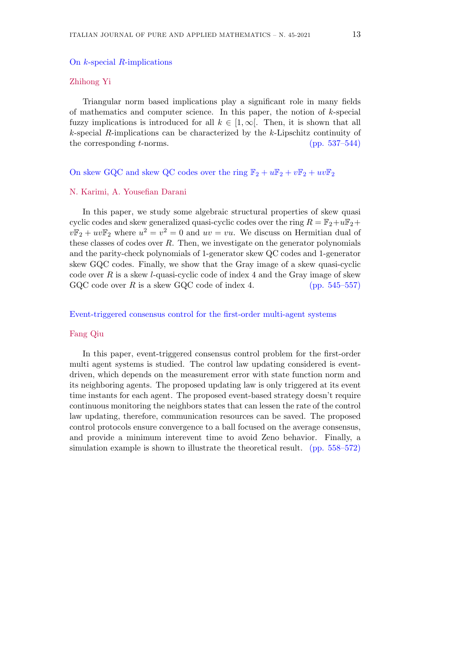#### Zhihong Yi

Triangular norm based implications play a significant role in many fields of mathematics and computer science. In this paper, the notion of *k*-special fuzzy implications is introduced for all  $k \in [1, \infty]$ . Then, it is shown that all *k*-special *R*-implications can be characterized by the *k*-Lipschitz continuity of the corresponding *t*-norms. (pp. 537–544)

#### On skew GQC and skew QC codes over the ring  $\mathbb{F}_2 + u\mathbb{F}_2 + v\mathbb{F}_2 + uv\mathbb{F}_2$

#### N. Karimi, A. Yousefian Darani

In this paper, we study some algebraic structural properties of skew quasi cyclic codes and skew generalized quasi-cyclic codes over the ring  $R = \mathbb{F}_2 + u\mathbb{F}_2 +$  $v\mathbb{F}_2 + uv\mathbb{F}_2$  where  $u^2 = v^2 = 0$  and  $uv = vu$ . We discuss on Hermitian dual of these classes of codes over *R*. Then, we investigate on the generator polynomials and the parity-check polynomials of 1-generator skew QC codes and 1-generator skew GQC codes. Finally, we show that the Gray image of a skew quasi-cyclic code over *R* is a skew *l*-quasi-cyclic code of index 4 and the Gray image of skew GQC code over  $R$  is a skew GQC code of index 4. (pp.  $545-557$ )

#### Event-triggered consensus control for the first-order multi-agent systems

#### Fang Qiu

In this paper, event-triggered consensus control problem for the first-order multi agent systems is studied. The control law updating considered is eventdriven, which depends on the measurement error with state function norm and its neighboring agents. The proposed updating law is only triggered at its event time instants for each agent. The proposed event-based strategy doesn't require continuous monitoring the neighbors states that can lessen the rate of the control law updating, therefore, communication resources can be saved. The proposed control protocols ensure convergence to a ball focused on the average consensus, and provide a minimum interevent time to avoid Zeno behavior. Finally, a simulation example is shown to illustrate the theoretical result. (pp. 558–572)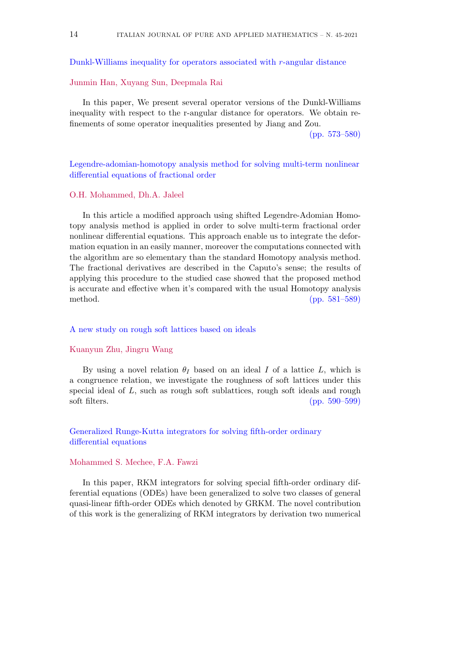Dunkl-Williams inequality for operators associated with *r*-angular distance

#### Junmin Han, Xuyang Sun, Deepmala Rai

In this paper, We present several operator versions of the Dunkl-Williams inequality with respect to the r-angular distance for operators. We obtain refinements of some operator inequalities presented by Jiang and Zou.

(pp. 573–580)

#### Legendre-adomian-homotopy analysis method for solving multi-term nonlinear differential equations of fractional order

#### O.H. Mohammed, Dh.A. Jaleel

In this article a modified approach using shifted Legendre-Adomian Homotopy analysis method is applied in order to solve multi-term fractional order nonlinear differential equations. This approach enable us to integrate the deformation equation in an easily manner, moreover the computations connected with the algorithm are so elementary than the standard Homotopy analysis method. The fractional derivatives are described in the Caputo's sense; the results of applying this procedure to the studied case showed that the proposed method is accurate and effective when it's compared with the usual Homotopy analysis method. (pp. 581–589)

#### A new study on rough soft lattices based on ideals

#### Kuanyun Zhu, Jingru Wang

By using a novel relation  $\theta_I$  based on an ideal *I* of a lattice *L*, which is a congruence relation, we investigate the roughness of soft lattices under this special ideal of *L*, such as rough soft sublattices, rough soft ideals and rough soft filters. (pp. 590–599)

#### Generalized Runge-Kutta integrators for solving fifth-order ordinary differential equations

#### Mohammed S. Mechee, F.A. Fawzi

In this paper, RKM integrators for solving special fifth-order ordinary differential equations (ODEs) have been generalized to solve two classes of general quasi-linear fifth-order ODEs which denoted by GRKM. The novel contribution of this work is the generalizing of RKM integrators by derivation two numerical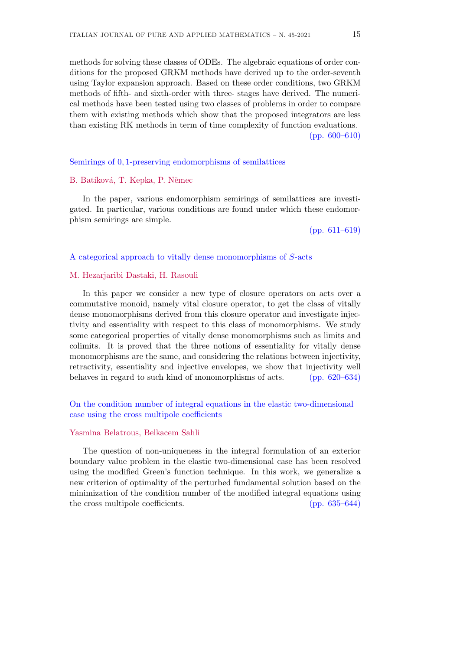methods for solving these classes of ODEs. The algebraic equations of order conditions for the proposed GRKM methods have derived up to the order-seventh using Taylor expansion approach. Based on these order conditions, two GRKM methods of fifth- and sixth-order with three- stages have derived. The numerical methods have been tested using two classes of problems in order to compare them with existing methods which show that the proposed integrators are less than existing RK methods in term of time complexity of function evaluations. (pp. 600–610)

#### Semirings of 0*,* 1-preserving endomorphisms of semilattices

#### B. Batíková, T. Kepka, P. Němec

In the paper, various endomorphism semirings of semilattices are investigated. In particular, various conditions are found under which these endomorphism semirings are simple.

(pp. 611–619)

#### A categorical approach to vitally dense monomorphisms of *S*-acts

#### M. Hezarjaribi Dastaki, H. Rasouli

In this paper we consider a new type of closure operators on acts over a commutative monoid, namely vital closure operator, to get the class of vitally dense monomorphisms derived from this closure operator and investigate injectivity and essentiality with respect to this class of monomorphisms. We study some categorical properties of vitally dense monomorphisms such as limits and colimits. It is proved that the three notions of essentiality for vitally dense monomorphisms are the same, and considering the relations between injectivity, retractivity, essentiality and injective envelopes, we show that injectivity well behaves in regard to such kind of monomorphisms of acts. (pp. 620–634)

#### On the condition number of integral equations in the elastic two-dimensional case using the cross multipole coefficients

#### Yasmina Belatrous, Belkacem Sahli

The question of non-uniqueness in the integral formulation of an exterior boundary value problem in the elastic two-dimensional case has been resolved using the modified Green's function technique. In this work, we generalize a new criterion of optimality of the perturbed fundamental solution based on the minimization of the condition number of the modified integral equations using the cross multipole coefficients. (pp. 635–644)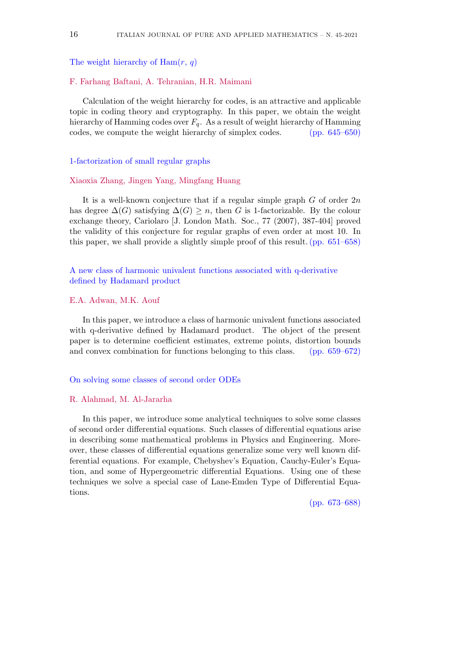The weight hierarchy of Ham(*r*, *q*)

#### F. Farhang Baftani, A. Tehranian, H.R. Maimani

Calculation of the weight hierarchy for codes, is an attractive and applicable topic in coding theory and cryptography. In this paper, we obtain the weight hierarchy of Hamming codes over *Fq*. As a result of weight hierarchy of Hamming codes, we compute the weight hierarchy of simplex codes. (pp. 645–650)

1-factorization of small regular graphs

#### Xiaoxia Zhang, Jingen Yang, Mingfang Huang

It is a well-known conjecture that if a regular simple graph *G* of order 2*n* has degree  $\Delta(G)$  satisfying  $\Delta(G) \geq n$ , then *G* is 1-factorizable. By the colour exchange theory, Cariolaro [J. London Math. Soc., 77 (2007), 387-404] proved the validity of this conjecture for regular graphs of even order at most 10. In this paper, we shall provide a slightly simple proof of this result.(pp. 651–658)

A new class of harmonic univalent functions associated with q-derivative defined by Hadamard product

#### E.A. Adwan, M.K. Aouf

In this paper, we introduce a class of harmonic univalent functions associated with q-derivative defined by Hadamard product. The object of the present paper is to determine coefficient estimates, extreme points, distortion bounds and convex combination for functions belonging to this class. (pp. 659–672)

#### On solving some classes of second order ODEs

#### R. Alahmad, M. Al-Jararha

In this paper, we introduce some analytical techniques to solve some classes of second order differential equations. Such classes of differential equations arise in describing some mathematical problems in Physics and Engineering. Moreover, these classes of differential equations generalize some very well known differential equations. For example, Chebyshev's Equation, Cauchy-Euler's Equation, and some of Hypergeometric differential Equations. Using one of these techniques we solve a special case of Lane-Emden Type of Differential Equations.

(pp. 673–688)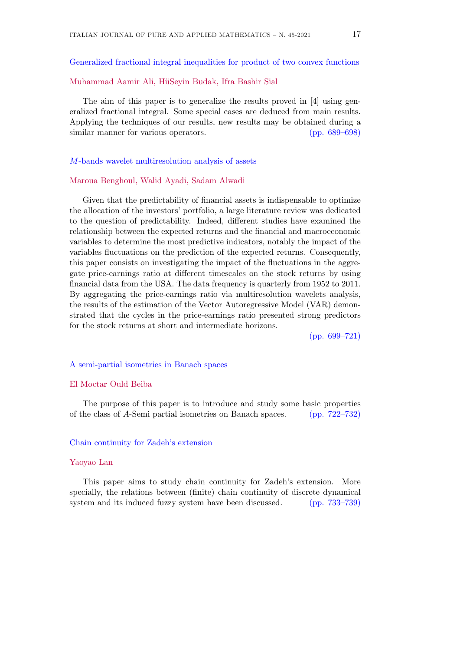Generalized fractional integral inequalities for product of two convex functions

#### Muhammad Aamir Ali, HüSevin Budak, Ifra Bashir Sial

The aim of this paper is to generalize the results proved in [4] using generalized fractional integral. Some special cases are deduced from main results. Applying the techniques of our results, new results may be obtained during a similar manner for various operators. (pp. 689–698)

#### *M*-bands wavelet multiresolution analysis of assets

#### Maroua Benghoul, Walid Ayadi, Sadam Alwadi

Given that the predictability of financial assets is indispensable to optimize the allocation of the investors' portfolio, a large literature review was dedicated to the question of predictability. Indeed, different studies have examined the relationship between the expected returns and the financial and macroeconomic variables to determine the most predictive indicators, notably the impact of the variables fluctuations on the prediction of the expected returns. Consequently, this paper consists on investigating the impact of the fluctuations in the aggregate price-earnings ratio at different timescales on the stock returns by using financial data from the USA. The data frequency is quarterly from 1952 to 2011. By aggregating the price-earnings ratio via multiresolution wavelets analysis, the results of the estimation of the Vector Autoregressive Model (VAR) demonstrated that the cycles in the price-earnings ratio presented strong predictors for the stock returns at short and intermediate horizons.

(pp. 699–721)

#### A semi-partial isometries in Banach spaces

#### El Moctar Ould Beiba

The purpose of this paper is to introduce and study some basic properties of the class of *A*-Semi partial isometries on Banach spaces. (pp. 722–732)

#### Chain continuity for Zadeh's extension

#### Yaoyao Lan

This paper aims to study chain continuity for Zadeh's extension. More specially, the relations between (finite) chain continuity of discrete dynamical system and its induced fuzzy system have been discussed. (pp. 733–739)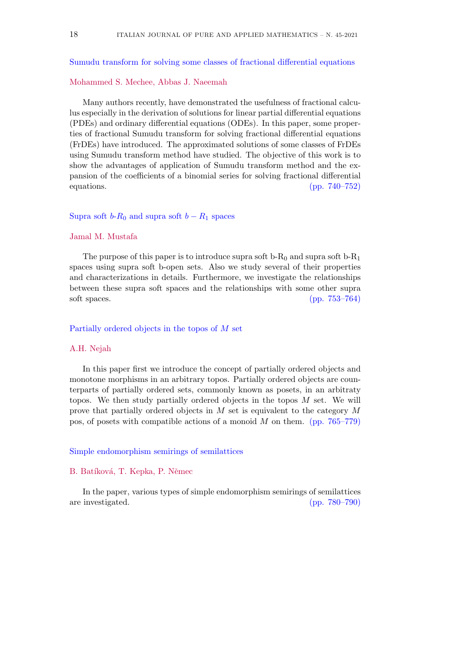#### Sumudu transform for solving some classes of fractional differential equations

#### Mohammed S. Mechee, Abbas J. Naeemah

Many authors recently, have demonstrated the usefulness of fractional calculus especially in the derivation of solutions for linear partial differential equations (PDEs) and ordinary differential equations (ODEs). In this paper, some properties of fractional Sumudu transform for solving fractional differential equations (FrDEs) have introduced. The approximated solutions of some classes of FrDEs using Sumudu transform method have studied. The objective of this work is to show the advantages of application of Sumudu transform method and the expansion of the coefficients of a binomial series for solving fractional differential equations. (pp. 740–752)

#### Supra soft  $b-R_0$  and supra soft  $b-R_1$  spaces

#### Jamal M. Mustafa

The purpose of this paper is to introduce supra soft b- $R_0$  and supra soft b- $R_1$ spaces using supra soft b-open sets. Also we study several of their properties and characterizations in details. Furthermore, we investigate the relationships between these supra soft spaces and the relationships with some other supra soft spaces. (pp. 753–764)

#### Partially ordered objects in the topos of *M* set

#### A.H. Nejah

In this paper first we introduce the concept of partially ordered objects and monotone morphisms in an arbitrary topos. Partially ordered objects are counterparts of partially ordered sets, commonly known as posets, in an arbitraty topos. We then study partially ordered objects in the topos *M* set. We will prove that partially ordered objects in *M* set is equivalent to the category *M* pos, of posets with compatible actions of a monoid *M* on them. (pp. 765–779)

#### Simple endomorphism semirings of semilattices

#### B. Batíková, T. Kepka, P. Němec

In the paper, various types of simple endomorphism semirings of semilattices are investigated. (pp. 780–790)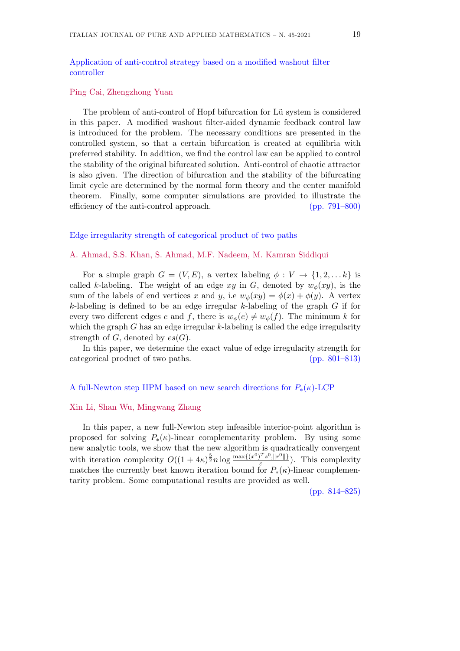Application of anti-control strategy based on a modified washout filter controller

Ping Cai, Zhengzhong Yuan

The problem of anti-control of Hopf bifurcation for Lü system is considered in this paper. A modified washout filter-aided dynamic feedback control law is introduced for the problem. The necessary conditions are presented in the controlled system, so that a certain bifurcation is created at equilibria with preferred stability. In addition, we find the control law can be applied to control the stability of the original bifurcated solution. Anti-control of chaotic attractor is also given. The direction of bifurcation and the stability of the bifurcating limit cycle are determined by the normal form theory and the center manifold theorem. Finally, some computer simulations are provided to illustrate the efficiency of the anti-control approach. (pp. 791–800)

#### Edge irregularity strength of categorical product of two paths

#### A. Ahmad, S.S. Khan, S. Ahmad, M.F. Nadeem, M. Kamran Siddiqui

For a simple graph  $G = (V, E)$ , a vertex labeling  $\phi : V \to \{1, 2, \ldots k\}$  is called *k*-labeling. The weight of an edge  $xy$  in *G*, denoted by  $w_{\phi}(xy)$ , is the sum of the labels of end vertices *x* and *y*, i.e  $w_{\phi}(xy) = \phi(x) + \phi(y)$ . A vertex *k*-labeling is defined to be an edge irregular *k*-labeling of the graph *G* if for every two different edges *e* and *f*, there is  $w_{\phi}(e) \neq w_{\phi}(f)$ . The minimum *k* for which the graph *G* has an edge irregular *k*-labeling is called the edge irregularity strength of  $G$ , denoted by  $es(G)$ .

In this paper, we determine the exact value of edge irregularity strength for categorical product of two paths. (pp. 801–813)

#### A full-Newton step IIPM based on new search directions for *P∗*(*κ*)-LCP

#### Xin Li, Shan Wu, Mingwang Zhang

In this paper, a new full-Newton step infeasible interior-point algorithm is proposed for solving  $P_{*}(\kappa)$ -linear complementarity problem. By using some new analytic tools, we show that the new algorithm is quadratically convergent with iteration complexity  $O((1+4\kappa)^{\frac{5}{2}}n\log\frac{\max\{(x^0)^T s^0, ||r^0||\}}{\epsilon})$ *ε* ). This complexity matches the currently best known iteration bound for  $P_{*}(\kappa)$ -linear complementarity problem. Some computational results are provided as well.

(pp. 814–825)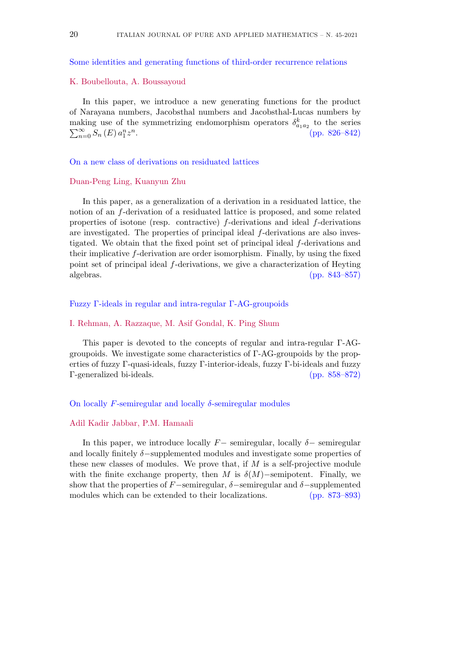Some identities and generating functions of third-order recurrence relations

#### K. Boubellouta, A. Boussayoud

In this paper, we introduce a new generating functions for the product of Narayana numbers, Jacobsthal numbers and Jacobsthal-Lucas numbers by making use of the symmetrizing endomorphism operators  $\delta_{a_1 a_2}^k$  to the series  $\sum_{n=0}^{\infty} S_n(E) a_1^n z^n$ . (pp. 826–842)  $\sum_{n=0}^{\infty}$ *S<sub>n</sub>* (*E*)  $a_1^n z^n$ *.* (pp. 826–842)

#### On a new class of derivations on residuated lattices

#### Duan-Peng Ling, Kuanyun Zhu

In this paper, as a generalization of a derivation in a residuated lattice, the notion of an *f*-derivation of a residuated lattice is proposed, and some related properties of isotone (resp. contractive) *f*-derivations and ideal *f*-derivations are investigated. The properties of principal ideal *f*-derivations are also investigated. We obtain that the fixed point set of principal ideal *f*-derivations and their implicative *f*-derivation are order isomorphism. Finally, by using the fixed point set of principal ideal *f*-derivations, we give a characterization of Heyting algebras. (pp. 843–857)

#### Fuzzy Γ-ideals in regular and intra-regular Γ-AG-groupoids

#### I. Rehman, A. Razzaque, M. Asif Gondal, K. Ping Shum

This paper is devoted to the concepts of regular and intra-regular Γ-AGgroupoids. We investigate some characteristics of Γ-AG-groupoids by the properties of fuzzy Γ-quasi-ideals, fuzzy Γ-interior-ideals, fuzzy Γ-bi-ideals and fuzzy Γ-generalized bi-ideals. (pp. 858–872)

#### On locally *F*-semiregular and locally *δ*-semiregular modules

#### Adil Kadir Jabbar, P.M. Hamaali

In this paper, we introduce locally  $F$ *−* semiregular, locally  $\delta$ *−* semiregular and locally finitely *δ−*supplemented modules and investigate some properties of these new classes of modules. We prove that, if *M* is a self-projective module with the finite exchange property, then *M* is  $\delta(M)$ −semipotent. Finally, we show that the properties of *F* $\sim$ semiregular,  $\delta$  $\sim$ semiregular and  $\delta$  $\sim$ supplemented modules which can be extended to their localizations. (pp. 873–893)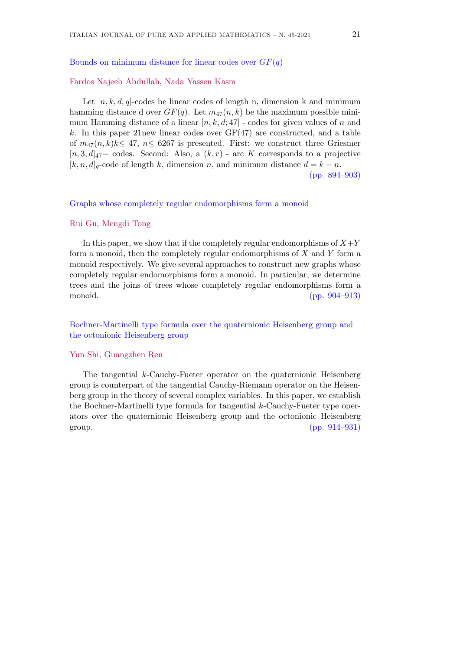#### Bounds on minimum distance for linear codes over *GF*(*q*)

#### Fardos Najeeb Abdullah, Nada Yassen Kasm

Let  $[n, k, d; q]$ -codes be linear codes of length n, dimension k and minimum hamming distance d over  $GF(q)$ . Let  $m_{47}(n, k)$  be the maximum possible minimum Hamming distance of a linear [*n, k, d*; 47] - codes for given values of *n* and  $k$ . In this paper 21 new linear codes over  $GF(47)$  are constructed, and a table of  $m_{47}(n, k)k \leq 47$ ,  $n \leq 6267$  is presented. First: we construct three Griesmer [*n,* 3*, d*]47*−* codes. Second: Also, a (*k, r*) - arc *K* corresponds to a projective  $[k, n, d]_q$ -code of length *k*, dimension *n*, and minimum distance  $d = k - n$ . (pp. 894–903)

#### Graphs whose completely regular endomorphisms form a monoid

#### Rui Gu, Mengdi Tong

In this paper, we show that if the completely regular endomorphisms of  $X+Y$ form a monoid, then the completely regular endomorphisms of *X* and *Y* form a monoid respectively. We give several approaches to construct new graphs whose completely regular endomorphisms form a monoid. In particular, we determine trees and the joins of trees whose completely regular endomorphisms form a monoid. (pp. 904–913)

#### Bochner-Martinelli type formula over the quaternionic Heisenberg group and the octonionic Heisenberg group

#### Yun Shi, Guangzhen Ren

The tangential *k*-Cauchy-Fueter operator on the quaternionic Heisenberg group is counterpart of the tangential Cauchy-Riemann operator on the Heisenberg group in the theory of several complex variables. In this paper, we establish the Bochner-Martinelli type formula for tangential *k*-Cauchy-Fueter type operators over the quaternionic Heisenberg group and the octonionic Heisenberg group.  $(pp. 914-931)$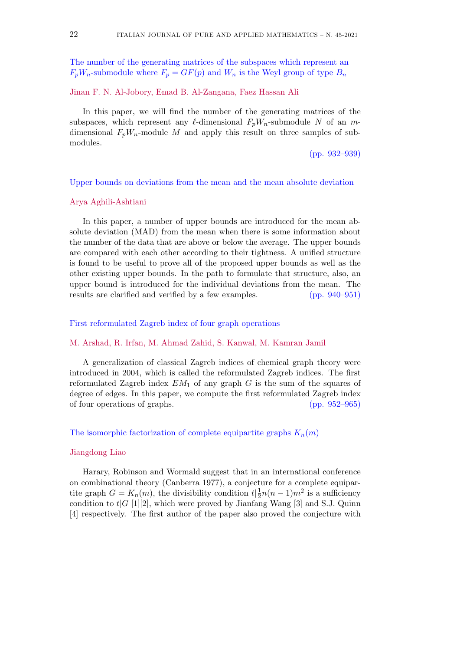The number of the generating matrices of the subspaces which represent an  $F_pW_n$ -submodule where  $F_p = GF(p)$  and  $W_n$  is the Weyl group of type  $B_n$ 

#### Jinan F. N. Al-Jobory, Emad B. Al-Zangana, Faez Hassan Ali

In this paper, we will find the number of the generating matrices of the subspaces, which represent any  $\ell$ -dimensional  $F_pW_n$ -submodule N of an  $m$ dimensional  $F_pW_n$ -module M and apply this result on three samples of submodules.

(pp. 932–939)

#### Upper bounds on deviations from the mean and the mean absolute deviation

#### Arya Aghili-Ashtiani

In this paper, a number of upper bounds are introduced for the mean absolute deviation (MAD) from the mean when there is some information about the number of the data that are above or below the average. The upper bounds are compared with each other according to their tightness. A unified structure is found to be useful to prove all of the proposed upper bounds as well as the other existing upper bounds. In the path to formulate that structure, also, an upper bound is introduced for the individual deviations from the mean. The results are clarified and verified by a few examples. (pp. 940–951)

#### First reformulated Zagreb index of four graph operations

#### M. Arshad, R. Irfan, M. Ahmad Zahid, S. Kanwal, M. Kamran Jamil

A generalization of classical Zagreb indices of chemical graph theory were introduced in 2004, which is called the reformulated Zagreb indices. The first reformulated Zagreb index *EM*<sup>1</sup> of any graph *G* is the sum of the squares of degree of edges. In this paper, we compute the first reformulated Zagreb index of four operations of graphs. (pp. 952–965)

#### The isomorphic factorization of complete equipartite graphs  $K_n(m)$

#### Jiangdong Liao

Harary, Robinson and Wormald suggest that in an international conference on combinational theory (Canberra 1977), a conjecture for a complete equipartite graph  $G = K_n(m)$ , the divisibility condition  $t\left|\frac{1}{2}\right|$  $\frac{1}{2}n(n-1)m^2$  is a sufficiency condition to  $t|G|$ [1][2], which were proved by Jianfang Wang [3] and S.J. Quinn [4] respectively. The first author of the paper also proved the conjecture with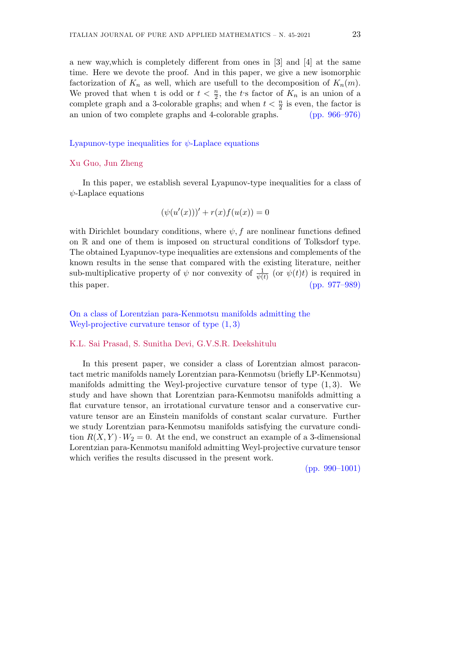a new way,which is completely different from ones in [3] and [4] at the same time. Here we devote the proof. And in this paper, we give a new isomorphic factorization of  $K_n$  as well, which are usefull to the decomposition of  $K_n(m)$ . We proved that when t is odd or  $t < \frac{n}{2}$ , the *t*'s factor of  $K_n$  is an union of a complete graph and a 3-colorable graphs; and when  $t < \frac{n}{2}$  is even, the factor is an union of two complete graphs and 4-colorable graphs. (pp. 966–976)

#### Lyapunov-type inequalities for *ψ*-Laplace equations

#### Xu Guo, Jun Zheng

In this paper, we establish several Lyapunov-type inequalities for a class of *ψ*-Laplace equations

$$
(\psi(u'(x)))' + r(x)f(u(x)) = 0
$$

with Dirichlet boundary conditions, where  $\psi$ , f are nonlinear functions defined on R and one of them is imposed on structural conditions of Tolksdorf type. The obtained Lyapunov-type inequalities are extensions and complements of the known results in the sense that compared with the existing literature, neither sub-multiplicative property of  $\psi$  nor convexity of  $\frac{1}{\psi(t)}$  (or  $\psi(t)t$ ) is required in this paper. (pp. 977–989)

#### On a class of Lorentzian para-Kenmotsu manifolds admitting the Weyl-projective curvature tensor of type (1*,* 3)

#### K.L. Sai Prasad, S. Sunitha Devi, G.V.S.R. Deekshitulu

In this present paper, we consider a class of Lorentzian almost paracontact metric manifolds namely Lorentzian para-Kenmotsu (briefly LP-Kenmotsu) manifolds admitting the Weyl-projective curvature tensor of type (1*,* 3). We study and have shown that Lorentzian para-Kenmotsu manifolds admitting a flat curvature tensor, an irrotational curvature tensor and a conservative curvature tensor are an Einstein manifolds of constant scalar curvature. Further we study Lorentzian para-Kenmotsu manifolds satisfying the curvature condition  $R(X, Y) \cdot W_2 = 0$ . At the end, we construct an example of a 3-dimensional Lorentzian para-Kenmotsu manifold admitting Weyl-projective curvature tensor which verifies the results discussed in the present work.

(pp. 990–1001)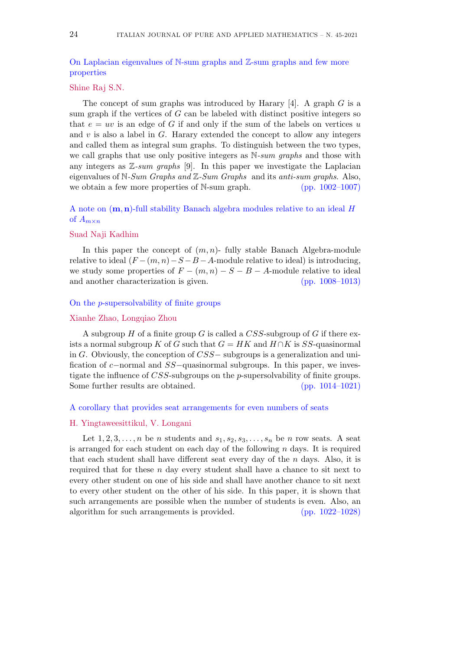#### On Laplacian eigenvalues of N-sum graphs and Z-sum graphs and few more properties

#### Shine Raj S.N.

The concept of sum graphs was introduced by Harary [4]. A graph *G* is a sum graph if the vertices of *G* can be labeled with distinct positive integers so that  $e = uv$  is an edge of *G* if and only if the sum of the labels on vertices *u* and  $v$  is also a label in  $G$ . Harary extended the concept to allow any integers and called them as integral sum graphs. To distinguish between the two types, we call graphs that use only positive integers as N*-sum graphs* and those with any integers as Z*-sum graphs* [9]. In this paper we investigate the Laplacian eigenvalues of N*-Sum Graphs and* Z*-Sum Graphs* and its *anti-sum graphs*. Also, we obtain a few more properties of N-sum graph.  $(pp. 1002-1007)$ 

A note on (**m***,* **n**)-full stability Banach algebra modules relative to an ideal *H* of  $A_{m \times n}$ 

#### Suad Naji Kadhim

In this paper the concept of  $(m, n)$ - fully stable Banach Algebra-module relative to ideal  $(F-(m, n)-S-B-A)$ -module relative to ideal) is introducing, we study some properties of  $F - (m, n) - S - B - A$ -module relative to ideal and another characterization is given. (pp. 1008–1013)

#### On the *p*-supersolvability of finite groups

#### Xianhe Zhao, Longqiao Zhou

A subgroup *H* of a finite group *G* is called a *CSS*-subgroup of *G* if there exists a normal subgroup *K* of *G* such that  $G = HK$  and  $H \cap K$  is *SS*-quasinormal in *G*. Obviously, the conception of *CSS−* subgroups is a generalization and unification of *c−*normal and *SS−*quasinormal subgroups. In this paper, we investigate the influence of *CSS*-subgroups on the *p*-supersolvability of finite groups. Some further results are obtained. (pp. 1014–1021)

#### A corollary that provides seat arrangements for even numbers of seats

#### H. Yingtaweesittikul, V. Longani

Let  $1, 2, 3, \ldots, n$  be *n* students and  $s_1, s_2, s_3, \ldots, s_n$  be *n* row seats. A seat is arranged for each student on each day of the following *n* days. It is required that each student shall have different seat every day of the *n* days. Also, it is required that for these *n* day every student shall have a chance to sit next to every other student on one of his side and shall have another chance to sit next to every other student on the other of his side. In this paper, it is shown that such arrangements are possible when the number of students is even. Also, an algorithm for such arrangements is provided. (pp. 1022–1028)